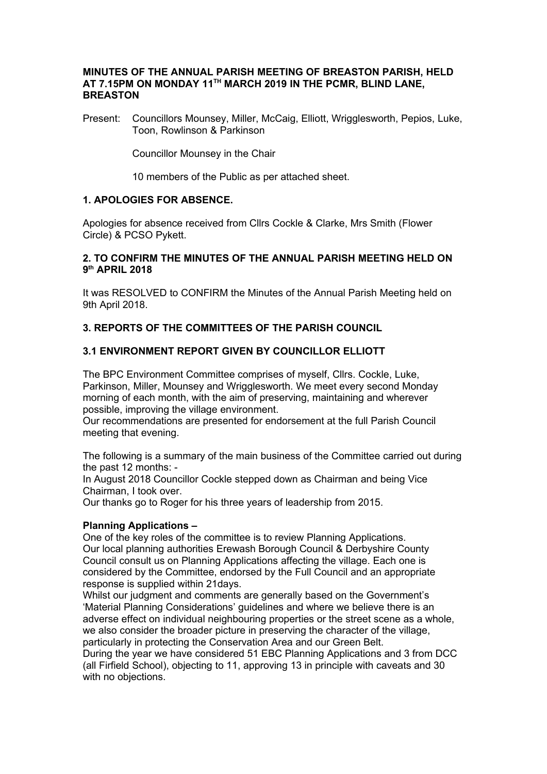### **MINUTES OF THE ANNUAL PARISH MEETING OF BREASTON PARISH, HELD AT 7.15PM ON MONDAY 11TH MARCH 2019 IN THE PCMR, BLIND LANE, BREASTON**

Present: Councillors Mounsey, Miller, McCaig, Elliott, Wrigglesworth, Pepios, Luke, Toon, Rowlinson & Parkinson

Councillor Mounsey in the Chair

10 members of the Public as per attached sheet.

# **1. APOLOGIES FOR ABSENCE.**

Apologies for absence received from Cllrs Cockle & Clarke, Mrs Smith (Flower Circle) & PCSO Pykett.

## **2. TO CONFIRM THE MINUTES OF THE ANNUAL PARISH MEETING HELD ON 9 th APRIL 2018**

It was RESOLVED to CONFIRM the Minutes of the Annual Parish Meeting held on 9th April 2018.

# **3. REPORTS OF THE COMMITTEES OF THE PARISH COUNCIL**

## **3.1 ENVIRONMENT REPORT GIVEN BY COUNCILLOR ELLIOTT**

The BPC Environment Committee comprises of myself, Cllrs. Cockle, Luke, Parkinson, Miller, Mounsey and Wrigglesworth. We meet every second Monday morning of each month, with the aim of preserving, maintaining and wherever possible, improving the village environment.

Our recommendations are presented for endorsement at the full Parish Council meeting that evening.

The following is a summary of the main business of the Committee carried out during the past 12 months: -

In August 2018 Councillor Cockle stepped down as Chairman and being Vice Chairman, I took over.

Our thanks go to Roger for his three years of leadership from 2015.

#### **Planning Applications –**

One of the key roles of the committee is to review Planning Applications. Our local planning authorities Erewash Borough Council & Derbyshire County Council consult us on Planning Applications affecting the village. Each one is considered by the Committee, endorsed by the Full Council and an appropriate response is supplied within 21days.

Whilst our judgment and comments are generally based on the Government's 'Material Planning Considerations' guidelines and where we believe there is an adverse effect on individual neighbouring properties or the street scene as a whole, we also consider the broader picture in preserving the character of the village, particularly in protecting the Conservation Area and our Green Belt.

During the year we have considered 51 EBC Planning Applications and 3 from DCC (all Firfield School), objecting to 11, approving 13 in principle with caveats and 30 with no objections.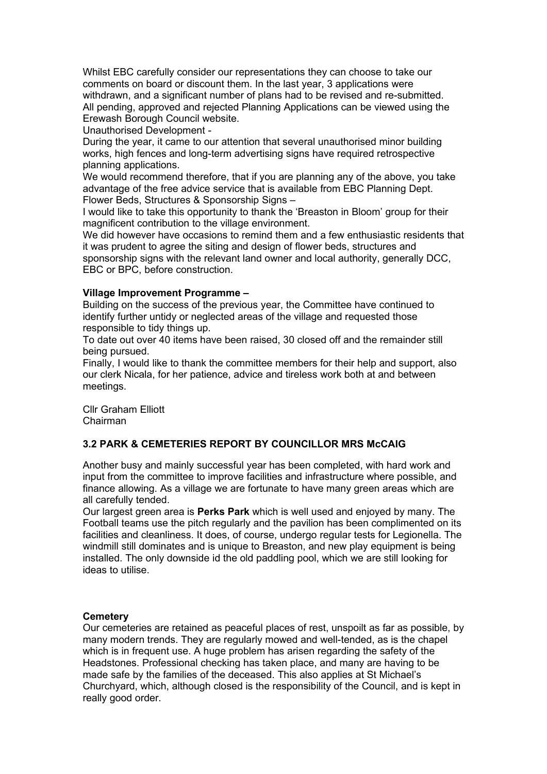Whilst EBC carefully consider our representations they can choose to take our comments on board or discount them. In the last year, 3 applications were withdrawn, and a significant number of plans had to be revised and re-submitted. All pending, approved and rejected Planning Applications can be viewed using the Erewash Borough Council website.

Unauthorised Development -

During the year, it came to our attention that several unauthorised minor building works, high fences and long-term advertising signs have required retrospective planning applications.

We would recommend therefore, that if you are planning any of the above, you take advantage of the free advice service that is available from EBC Planning Dept. Flower Beds, Structures & Sponsorship Signs –

I would like to take this opportunity to thank the 'Breaston in Bloom' group for their magnificent contribution to the village environment.

We did however have occasions to remind them and a few enthusiastic residents that it was prudent to agree the siting and design of flower beds, structures and sponsorship signs with the relevant land owner and local authority, generally DCC, EBC or BPC, before construction.

## **Village Improvement Programme –**

Building on the success of the previous year, the Committee have continued to identify further untidy or neglected areas of the village and requested those responsible to tidy things up.

To date out over 40 items have been raised, 30 closed off and the remainder still being pursued.

Finally, I would like to thank the committee members for their help and support, also our clerk Nicala, for her patience, advice and tireless work both at and between meetings.

Cllr Graham Elliott Chairman

# **3.2 PARK & CEMETERIES REPORT BY COUNCILLOR MRS McCAIG**

Another busy and mainly successful year has been completed, with hard work and input from the committee to improve facilities and infrastructure where possible, and finance allowing. As a village we are fortunate to have many green areas which are all carefully tended.

Our largest green area is **Perks Park** which is well used and enjoyed by many. The Football teams use the pitch regularly and the pavilion has been complimented on its facilities and cleanliness. It does, of course, undergo regular tests for Legionella. The windmill still dominates and is unique to Breaston, and new play equipment is being installed. The only downside id the old paddling pool, which we are still looking for ideas to utilise.

# **Cemetery**

Our cemeteries are retained as peaceful places of rest, unspoilt as far as possible, by many modern trends. They are regularly mowed and well-tended, as is the chapel which is in frequent use. A huge problem has arisen regarding the safety of the Headstones. Professional checking has taken place, and many are having to be made safe by the families of the deceased. This also applies at St Michael's Churchyard, which, although closed is the responsibility of the Council, and is kept in really good order.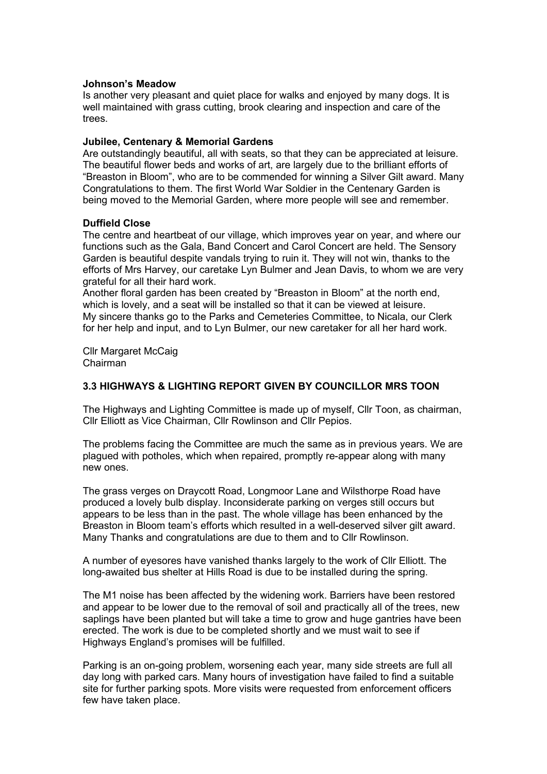### **Johnson's Meadow**

Is another very pleasant and quiet place for walks and enjoyed by many dogs. It is well maintained with grass cutting, brook clearing and inspection and care of the trees.

### **Jubilee, Centenary & Memorial Gardens**

Are outstandingly beautiful, all with seats, so that they can be appreciated at leisure. The beautiful flower beds and works of art, are largely due to the brilliant efforts of "Breaston in Bloom", who are to be commended for winning a Silver Gilt award. Many Congratulations to them. The first World War Soldier in the Centenary Garden is being moved to the Memorial Garden, where more people will see and remember.

## **Duffield Close**

The centre and heartbeat of our village, which improves year on year, and where our functions such as the Gala, Band Concert and Carol Concert are held. The Sensory Garden is beautiful despite vandals trying to ruin it. They will not win, thanks to the efforts of Mrs Harvey, our caretake Lyn Bulmer and Jean Davis, to whom we are very grateful for all their hard work.

Another floral garden has been created by "Breaston in Bloom" at the north end, which is lovely, and a seat will be installed so that it can be viewed at leisure. My sincere thanks go to the Parks and Cemeteries Committee, to Nicala, our Clerk for her help and input, and to Lyn Bulmer, our new caretaker for all her hard work.

Cllr Margaret McCaig Chairman

## **3.3 HIGHWAYS & LIGHTING REPORT GIVEN BY COUNCILLOR MRS TOON**

The Highways and Lighting Committee is made up of myself, Cllr Toon, as chairman, Cllr Elliott as Vice Chairman, Cllr Rowlinson and Cllr Pepios.

The problems facing the Committee are much the same as in previous years. We are plagued with potholes, which when repaired, promptly re-appear along with many new ones.

The grass verges on Draycott Road, Longmoor Lane and Wilsthorpe Road have produced a lovely bulb display. Inconsiderate parking on verges still occurs but appears to be less than in the past. The whole village has been enhanced by the Breaston in Bloom team's efforts which resulted in a well-deserved silver gilt award. Many Thanks and congratulations are due to them and to Cllr Rowlinson.

A number of eyesores have vanished thanks largely to the work of Cllr Elliott. The long-awaited bus shelter at Hills Road is due to be installed during the spring.

The M1 noise has been affected by the widening work. Barriers have been restored and appear to be lower due to the removal of soil and practically all of the trees, new saplings have been planted but will take a time to grow and huge gantries have been erected. The work is due to be completed shortly and we must wait to see if Highways England's promises will be fulfilled.

Parking is an on-going problem, worsening each year, many side streets are full all day long with parked cars. Many hours of investigation have failed to find a suitable site for further parking spots. More visits were requested from enforcement officers few have taken place.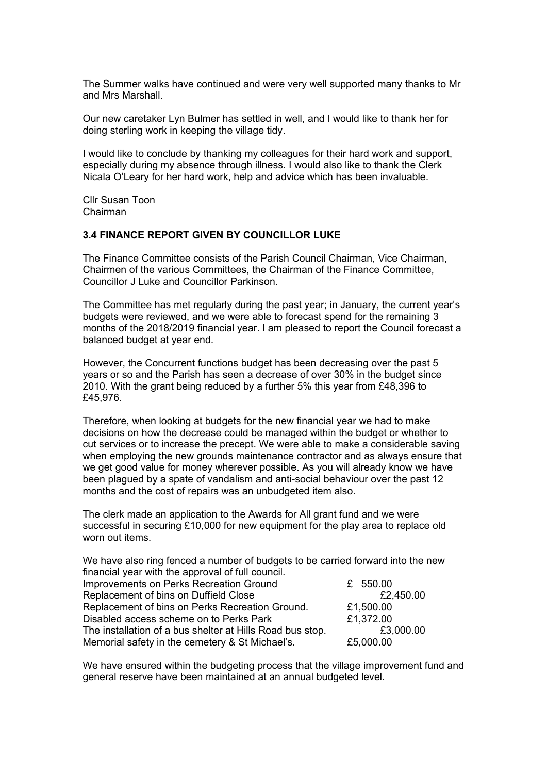The Summer walks have continued and were very well supported many thanks to Mr and Mrs Marshall.

Our new caretaker Lyn Bulmer has settled in well, and I would like to thank her for doing sterling work in keeping the village tidy.

I would like to conclude by thanking my colleagues for their hard work and support, especially during my absence through illness. I would also like to thank the Clerk Nicala O'Leary for her hard work, help and advice which has been invaluable.

Cllr Susan Toon Chairman

#### **3.4 FINANCE REPORT GIVEN BY COUNCILLOR LUKE**

The Finance Committee consists of the Parish Council Chairman, Vice Chairman, Chairmen of the various Committees, the Chairman of the Finance Committee, Councillor J Luke and Councillor Parkinson.

The Committee has met regularly during the past year; in January, the current year's budgets were reviewed, and we were able to forecast spend for the remaining 3 months of the 2018/2019 financial year. I am pleased to report the Council forecast a balanced budget at year end.

However, the Concurrent functions budget has been decreasing over the past 5 years or so and the Parish has seen a decrease of over 30% in the budget since 2010. With the grant being reduced by a further 5% this year from £48,396 to £45,976.

Therefore, when looking at budgets for the new financial year we had to make decisions on how the decrease could be managed within the budget or whether to cut services or to increase the precept. We were able to make a considerable saving when employing the new grounds maintenance contractor and as always ensure that we get good value for money wherever possible. As you will already know we have been plagued by a spate of vandalism and anti-social behaviour over the past 12 months and the cost of repairs was an unbudgeted item also.

The clerk made an application to the Awards for All grant fund and we were successful in securing £10,000 for new equipment for the play area to replace old worn out items.

We have also ring fenced a number of budgets to be carried forward into the new financial year with the approval of full council. Improvements on Perks Recreation Ground £ 550.00 Replacement of bins on Duffield Close **EXALL** E2,450.00 Replacement of bins on Perks Recreation Ground. £1,500.00 Disabled access scheme on to Perks Park £1,372.00 The installation of a bus shelter at Hills Road bus stop. **EXACCO 2008** E3,000.00 Memorial safety in the cemetery & St Michael's.  $£5,000.00$ 

We have ensured within the budgeting process that the village improvement fund and general reserve have been maintained at an annual budgeted level.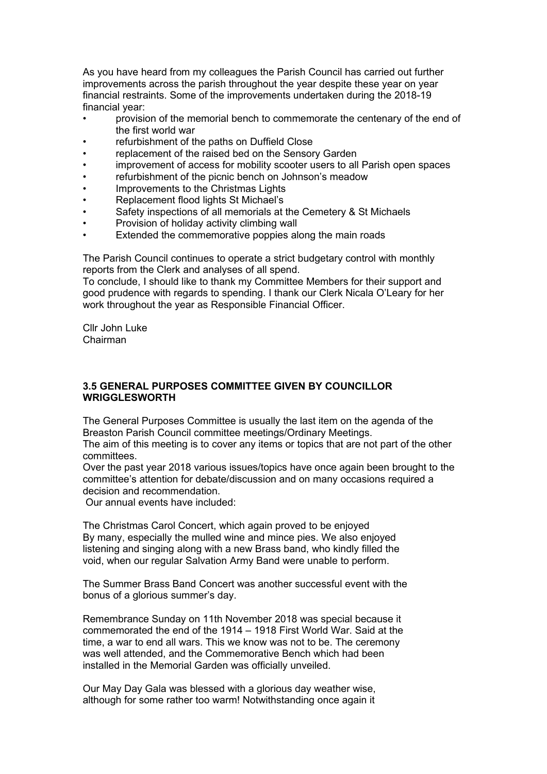As you have heard from my colleagues the Parish Council has carried out further improvements across the parish throughout the year despite these year on year financial restraints. Some of the improvements undertaken during the 2018-19 financial year:

- provision of the memorial bench to commemorate the centenary of the end of the first world war
- refurbishment of the paths on Duffield Close
- replacement of the raised bed on the Sensory Garden
- improvement of access for mobility scooter users to all Parish open spaces
- refurbishment of the picnic bench on Johnson's meadow
- Improvements to the Christmas Lights
- Replacement flood lights St Michael's
- Safety inspections of all memorials at the Cemetery & St Michaels
- Provision of holiday activity climbing wall
- Extended the commemorative poppies along the main roads

The Parish Council continues to operate a strict budgetary control with monthly reports from the Clerk and analyses of all spend.

To conclude, I should like to thank my Committee Members for their support and good prudence with regards to spending. I thank our Clerk Nicala O'Leary for her work throughout the year as Responsible Financial Officer.

Cllr John Luke Chairman

### **3.5 GENERAL PURPOSES COMMITTEE GIVEN BY COUNCILLOR WRIGGLESWORTH**

The General Purposes Committee is usually the last item on the agenda of the Breaston Parish Council committee meetings/Ordinary Meetings.

The aim of this meeting is to cover any items or topics that are not part of the other committees.

Over the past year 2018 various issues/topics have once again been brought to the committee's attention for debate/discussion and on many occasions required a decision and recommendation.

Our annual events have included:

The Christmas Carol Concert, which again proved to be enjoyed By many, especially the mulled wine and mince pies. We also enjoyed listening and singing along with a new Brass band, who kindly filled the void, when our regular Salvation Army Band were unable to perform.

The Summer Brass Band Concert was another successful event with the bonus of a glorious summer's day.

Remembrance Sunday on 11th November 2018 was special because it commemorated the end of the 1914 – 1918 First World War. Said at the time, a war to end all wars. This we know was not to be. The ceremony was well attended, and the Commemorative Bench which had been installed in the Memorial Garden was officially unveiled.

Our May Day Gala was blessed with a glorious day weather wise, although for some rather too warm! Notwithstanding once again it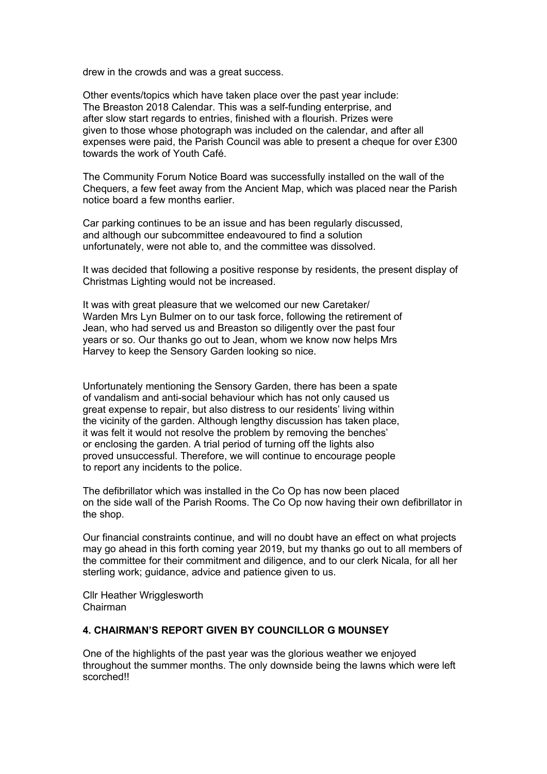drew in the crowds and was a great success.

Other events/topics which have taken place over the past year include: The Breaston 2018 Calendar. This was a self-funding enterprise, and after slow start regards to entries, finished with a flourish. Prizes were given to those whose photograph was included on the calendar, and after all expenses were paid, the Parish Council was able to present a cheque for over £300 towards the work of Youth Café.

The Community Forum Notice Board was successfully installed on the wall of the Chequers, a few feet away from the Ancient Map, which was placed near the Parish notice board a few months earlier.

Car parking continues to be an issue and has been regularly discussed, and although our subcommittee endeavoured to find a solution unfortunately, were not able to, and the committee was dissolved.

It was decided that following a positive response by residents, the present display of Christmas Lighting would not be increased.

It was with great pleasure that we welcomed our new Caretaker/ Warden Mrs Lyn Bulmer on to our task force, following the retirement of Jean, who had served us and Breaston so diligently over the past four years or so. Our thanks go out to Jean, whom we know now helps Mrs Harvey to keep the Sensory Garden looking so nice.

Unfortunately mentioning the Sensory Garden, there has been a spate of vandalism and anti-social behaviour which has not only caused us great expense to repair, but also distress to our residents' living within the vicinity of the garden. Although lengthy discussion has taken place, it was felt it would not resolve the problem by removing the benches' or enclosing the garden. A trial period of turning off the lights also proved unsuccessful. Therefore, we will continue to encourage people to report any incidents to the police.

The defibrillator which was installed in the Co Op has now been placed on the side wall of the Parish Rooms. The Co Op now having their own defibrillator in the shop.

Our financial constraints continue, and will no doubt have an effect on what projects may go ahead in this forth coming year 2019, but my thanks go out to all members of the committee for their commitment and diligence, and to our clerk Nicala, for all her sterling work; guidance, advice and patience given to us.

Cllr Heather Wrigglesworth Chairman

## **4. CHAIRMAN'S REPORT GIVEN BY COUNCILLOR G MOUNSEY**

One of the highlights of the past year was the glorious weather we enjoyed throughout the summer months. The only downside being the lawns which were left scorched!!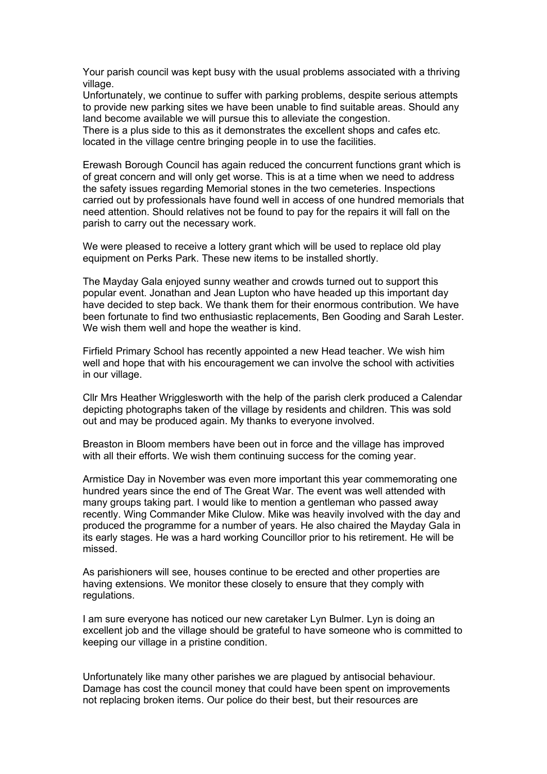Your parish council was kept busy with the usual problems associated with a thriving village.

Unfortunately, we continue to suffer with parking problems, despite serious attempts to provide new parking sites we have been unable to find suitable areas. Should any land become available we will pursue this to alleviate the congestion.

There is a plus side to this as it demonstrates the excellent shops and cafes etc. located in the village centre bringing people in to use the facilities.

Erewash Borough Council has again reduced the concurrent functions grant which is of great concern and will only get worse. This is at a time when we need to address the safety issues regarding Memorial stones in the two cemeteries. Inspections carried out by professionals have found well in access of one hundred memorials that need attention. Should relatives not be found to pay for the repairs it will fall on the parish to carry out the necessary work.

We were pleased to receive a lottery grant which will be used to replace old play equipment on Perks Park. These new items to be installed shortly.

The Mayday Gala enjoyed sunny weather and crowds turned out to support this popular event. Jonathan and Jean Lupton who have headed up this important day have decided to step back. We thank them for their enormous contribution. We have been fortunate to find two enthusiastic replacements, Ben Gooding and Sarah Lester. We wish them well and hope the weather is kind.

Firfield Primary School has recently appointed a new Head teacher. We wish him well and hope that with his encouragement we can involve the school with activities in our village.

Cllr Mrs Heather Wrigglesworth with the help of the parish clerk produced a Calendar depicting photographs taken of the village by residents and children. This was sold out and may be produced again. My thanks to everyone involved.

Breaston in Bloom members have been out in force and the village has improved with all their efforts. We wish them continuing success for the coming year.

Armistice Day in November was even more important this year commemorating one hundred years since the end of The Great War. The event was well attended with many groups taking part. I would like to mention a gentleman who passed away recently. Wing Commander Mike Clulow. Mike was heavily involved with the day and produced the programme for a number of years. He also chaired the Mayday Gala in its early stages. He was a hard working Councillor prior to his retirement. He will be missed.

As parishioners will see, houses continue to be erected and other properties are having extensions. We monitor these closely to ensure that they comply with regulations.

I am sure everyone has noticed our new caretaker Lyn Bulmer. Lyn is doing an excellent job and the village should be grateful to have someone who is committed to keeping our village in a pristine condition.

Unfortunately like many other parishes we are plagued by antisocial behaviour. Damage has cost the council money that could have been spent on improvements not replacing broken items. Our police do their best, but their resources are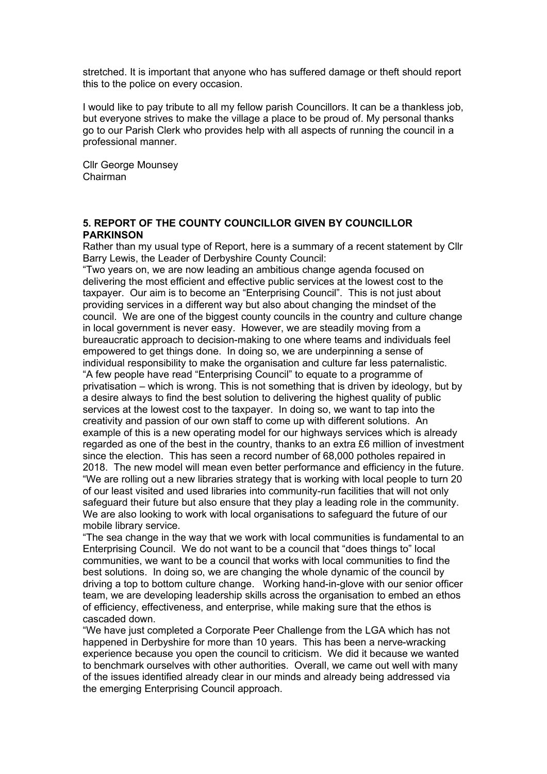stretched. It is important that anyone who has suffered damage or theft should report this to the police on every occasion.

I would like to pay tribute to all my fellow parish Councillors. It can be a thankless job, but everyone strives to make the village a place to be proud of. My personal thanks go to our Parish Clerk who provides help with all aspects of running the council in a professional manner.

Cllr George Mounsey Chairman

#### **5. REPORT OF THE COUNTY COUNCILLOR GIVEN BY COUNCILLOR PARKINSON**

Rather than my usual type of Report, here is a summary of a recent statement by Cllr Barry Lewis, the Leader of Derbyshire County Council:

"Two years on, we are now leading an ambitious change agenda focused on delivering the most efficient and effective public services at the lowest cost to the taxpayer. Our aim is to become an "Enterprising Council". This is not just about providing services in a different way but also about changing the mindset of the council. We are one of the biggest county councils in the country and culture change in local government is never easy. However, we are steadily moving from a bureaucratic approach to decision-making to one where teams and individuals feel empowered to get things done. In doing so, we are underpinning a sense of individual responsibility to make the organisation and culture far less paternalistic. "A few people have read "Enterprising Council" to equate to a programme of privatisation – which is wrong. This is not something that is driven by ideology, but by a desire always to find the best solution to delivering the highest quality of public services at the lowest cost to the taxpayer. In doing so, we want to tap into the creativity and passion of our own staff to come up with different solutions. An example of this is a new operating model for our highways services which is already regarded as one of the best in the country, thanks to an extra £6 million of investment since the election. This has seen a record number of 68,000 potholes repaired in 2018. The new model will mean even better performance and efficiency in the future. "We are rolling out a new libraries strategy that is working with local people to turn 20 of our least visited and used libraries into community-run facilities that will not only safeguard their future but also ensure that they play a leading role in the community. We are also looking to work with local organisations to safeguard the future of our mobile library service.

"The sea change in the way that we work with local communities is fundamental to an Enterprising Council. We do not want to be a council that "does things to" local communities, we want to be a council that works with local communities to find the best solutions. In doing so, we are changing the whole dynamic of the council by driving a top to bottom culture change. Working hand-in-glove with our senior officer team, we are developing leadership skills across the organisation to embed an ethos of efficiency, effectiveness, and enterprise, while making sure that the ethos is cascaded down.

"We have just completed a Corporate Peer Challenge from the LGA which has not happened in Derbyshire for more than 10 years. This has been a nerve-wracking experience because you open the council to criticism. We did it because we wanted to benchmark ourselves with other authorities. Overall, we came out well with many of the issues identified already clear in our minds and already being addressed via the emerging Enterprising Council approach.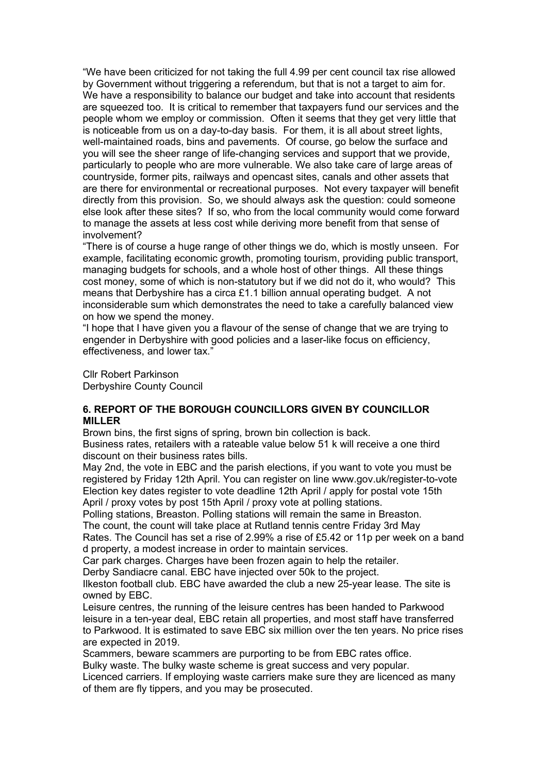"We have been criticized for not taking the full 4.99 per cent council tax rise allowed by Government without triggering a referendum, but that is not a target to aim for. We have a responsibility to balance our budget and take into account that residents are squeezed too. It is critical to remember that taxpayers fund our services and the people whom we employ or commission. Often it seems that they get very little that is noticeable from us on a day-to-day basis. For them, it is all about street lights, well-maintained roads, bins and pavements. Of course, go below the surface and you will see the sheer range of life-changing services and support that we provide, particularly to people who are more vulnerable. We also take care of large areas of countryside, former pits, railways and opencast sites, canals and other assets that are there for environmental or recreational purposes. Not every taxpayer will benefit directly from this provision. So, we should always ask the question: could someone else look after these sites? If so, who from the local community would come forward to manage the assets at less cost while deriving more benefit from that sense of involvement?

"There is of course a huge range of other things we do, which is mostly unseen. For example, facilitating economic growth, promoting tourism, providing public transport, managing budgets for schools, and a whole host of other things. All these things cost money, some of which is non-statutory but if we did not do it, who would? This means that Derbyshire has a circa £1.1 billion annual operating budget. A not inconsiderable sum which demonstrates the need to take a carefully balanced view on how we spend the money.

"I hope that I have given you a flavour of the sense of change that we are trying to engender in Derbyshire with good policies and a laser-like focus on efficiency, effectiveness, and lower tax."

Cllr Robert Parkinson Derbyshire County Council

## **6. REPORT OF THE BOROUGH COUNCILLORS GIVEN BY COUNCILLOR MILLER**

Brown bins, the first signs of spring, brown bin collection is back.

Business rates, retailers with a rateable value below 51 k will receive a one third discount on their business rates bills.

May 2nd, the vote in EBC and the parish elections, if you want to vote you must be registered by Friday 12th April. You can register on line www.gov.uk/register-to-vote Election key dates register to vote deadline 12th April / apply for postal vote 15th April / proxy votes by post 15th April / proxy vote at polling stations.

Polling stations, Breaston. Polling stations will remain the same in Breaston. The count, the count will take place at Rutland tennis centre Friday 3rd May

Rates. The Council has set a rise of 2.99% a rise of £5.42 or 11p per week on a band d property, a modest increase in order to maintain services.

Car park charges. Charges have been frozen again to help the retailer.

Derby Sandiacre canal. EBC have injected over 50k to the project.

Ilkeston football club. EBC have awarded the club a new 25-year lease. The site is owned by EBC.

Leisure centres, the running of the leisure centres has been handed to Parkwood leisure in a ten-year deal, EBC retain all properties, and most staff have transferred to Parkwood. It is estimated to save EBC six million over the ten years. No price rises are expected in 2019.

Scammers, beware scammers are purporting to be from EBC rates office.

Bulky waste. The bulky waste scheme is great success and very popular.

Licenced carriers. If employing waste carriers make sure they are licenced as many of them are fly tippers, and you may be prosecuted.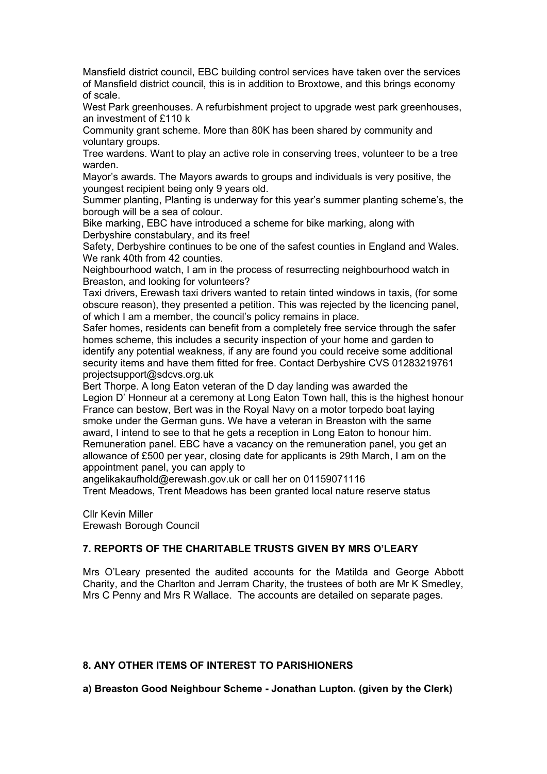Mansfield district council, EBC building control services have taken over the services of Mansfield district council, this is in addition to Broxtowe, and this brings economy of scale.

West Park greenhouses. A refurbishment project to upgrade west park greenhouses, an investment of £110 k

Community grant scheme. More than 80K has been shared by community and voluntary groups.

Tree wardens. Want to play an active role in conserving trees, volunteer to be a tree warden.

Mayor's awards. The Mayors awards to groups and individuals is very positive, the youngest recipient being only 9 years old.

Summer planting, Planting is underway for this year's summer planting scheme's, the borough will be a sea of colour.

Bike marking, EBC have introduced a scheme for bike marking, along with Derbyshire constabulary, and its free!

Safety, Derbyshire continues to be one of the safest counties in England and Wales. We rank 40th from 42 counties.

Neighbourhood watch, I am in the process of resurrecting neighbourhood watch in Breaston, and looking for volunteers?

Taxi drivers, Erewash taxi drivers wanted to retain tinted windows in taxis, (for some obscure reason), they presented a petition. This was rejected by the licencing panel, of which I am a member, the council's policy remains in place.

Safer homes, residents can benefit from a completely free service through the safer homes scheme, this includes a security inspection of your home and garden to identify any potential weakness, if any are found you could receive some additional security items and have them fitted for free. Contact Derbyshire CVS 01283219761 projectsupport@sdcvs.org.uk

Bert Thorpe. A long Eaton veteran of the D day landing was awarded the Legion D' Honneur at a ceremony at Long Eaton Town hall, this is the highest honour France can bestow, Bert was in the Royal Navy on a motor torpedo boat laying smoke under the German guns. We have a veteran in Breaston with the same award, I intend to see to that he gets a reception in Long Eaton to honour him. Remuneration panel. EBC have a vacancy on the remuneration panel, you get an allowance of £500 per year, closing date for applicants is 29th March, I am on the appointment panel, you can apply to

angelikakaufhold@erewash.gov.uk or call her on 01159071116

Trent Meadows, Trent Meadows has been granted local nature reserve status

Cllr Kevin Miller Erewash Borough Council

# **7. REPORTS OF THE CHARITABLE TRUSTS GIVEN BY MRS O'LEARY**

Mrs O'Leary presented the audited accounts for the Matilda and George Abbott Charity, and the Charlton and Jerram Charity, the trustees of both are Mr K Smedley, Mrs C Penny and Mrs R Wallace. The accounts are detailed on separate pages.

# **8. ANY OTHER ITEMS OF INTEREST TO PARISHIONERS**

**a) Breaston Good Neighbour Scheme - Jonathan Lupton. (given by the Clerk)**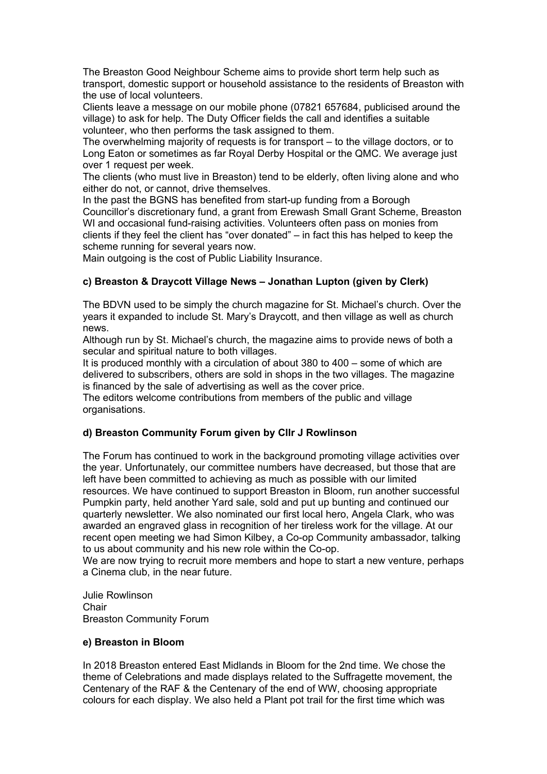The Breaston Good Neighbour Scheme aims to provide short term help such as transport, domestic support or household assistance to the residents of Breaston with the use of local volunteers.

Clients leave a message on our mobile phone (07821 657684, publicised around the village) to ask for help. The Duty Officer fields the call and identifies a suitable volunteer, who then performs the task assigned to them.

The overwhelming majority of requests is for transport – to the village doctors, or to Long Eaton or sometimes as far Royal Derby Hospital or the QMC. We average just over 1 request per week.

The clients (who must live in Breaston) tend to be elderly, often living alone and who either do not, or cannot, drive themselves.

In the past the BGNS has benefited from start-up funding from a Borough Councillor's discretionary fund, a grant from Erewash Small Grant Scheme, Breaston WI and occasional fund-raising activities. Volunteers often pass on monies from clients if they feel the client has "over donated" – in fact this has helped to keep the scheme running for several years now.

Main outgoing is the cost of Public Liability Insurance.

# **c) Breaston & Draycott Village News – Jonathan Lupton (given by Clerk)**

The BDVN used to be simply the church magazine for St. Michael's church. Over the years it expanded to include St. Mary's Draycott, and then village as well as church news.

Although run by St. Michael's church, the magazine aims to provide news of both a secular and spiritual nature to both villages.

It is produced monthly with a circulation of about 380 to 400 – some of which are delivered to subscribers, others are sold in shops in the two villages. The magazine is financed by the sale of advertising as well as the cover price.

The editors welcome contributions from members of the public and village organisations.

# **d) Breaston Community Forum given by Cllr J Rowlinson**

The Forum has continued to work in the background promoting village activities over the year. Unfortunately, our committee numbers have decreased, but those that are left have been committed to achieving as much as possible with our limited resources. We have continued to support Breaston in Bloom, run another successful Pumpkin party, held another Yard sale, sold and put up bunting and continued our quarterly newsletter. We also nominated our first local hero, Angela Clark, who was awarded an engraved glass in recognition of her tireless work for the village. At our recent open meeting we had Simon Kilbey, a Co-op Community ambassador, talking to us about community and his new role within the Co-op.

We are now trying to recruit more members and hope to start a new venture, perhaps a Cinema club, in the near future.

Julie Rowlinson Chair Breaston Community Forum

#### **e) Breaston in Bloom**

In 2018 Breaston entered East Midlands in Bloom for the 2nd time. We chose the theme of Celebrations and made displays related to the Suffragette movement, the Centenary of the RAF & the Centenary of the end of WW, choosing appropriate colours for each display. We also held a Plant pot trail for the first time which was